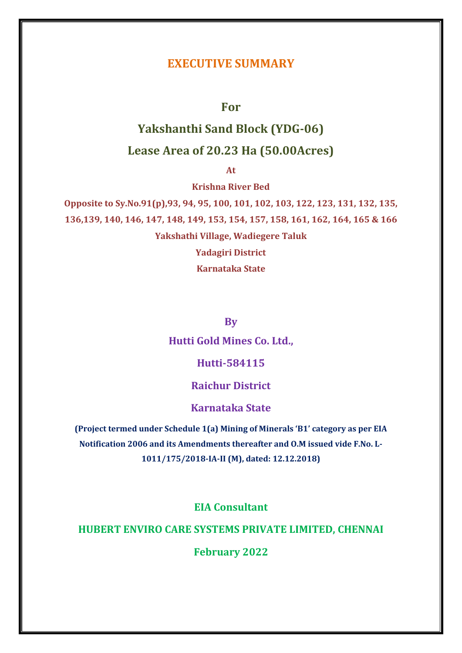# **EXECUTIVE SUMMARY**

**For**

# **Yakshanthi Sand Block (YDG-06) Lease Area of 20.23 Ha (50.00Acres)**

**At** 

**Krishna River Bed**

**Opposite to Sy.No.91(p),93, 94, 95, 100, 101, 102, 103, 122, 123, 131, 132, 135, 136,139, 140, 146, 147, 148, 149, 153, 154, 157, 158, 161, 162, 164, 165 & 166 Yakshathi Village, Wadiegere Taluk Yadagiri District**

**Karnataka State**

**By**

**Hutti Gold Mines Co. Ltd.,**

**Hutti-584115**

# **Raichur District**

**Karnataka State**

**(Project termed under Schedule 1(a) Mining of Minerals 'B1' category as per EIA Notification 2006 and its Amendments thereafter and O.M issued vide F.No. L-1011/175/2018-IA-II (M), dated: 12.12.2018)**

**EIA Consultant**

# **HUBERT ENVIRO CARE SYSTEMS PRIVATE LIMITED, CHENNAI**

**February 2022**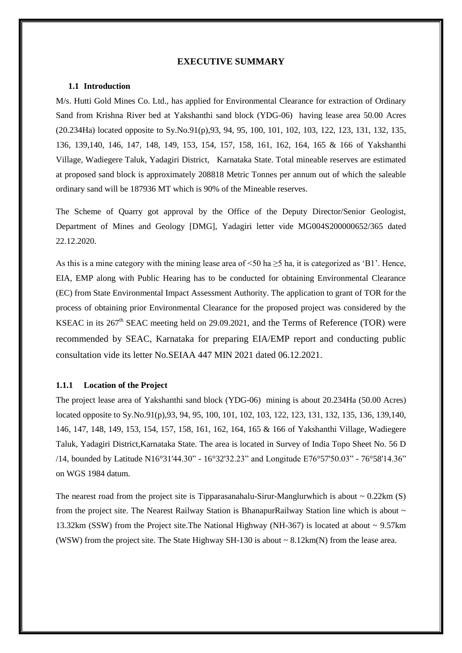## **EXECUTIVE SUMMARY**

# **1.1 Introduction**

M/s. Hutti Gold Mines Co. Ltd., has applied for Environmental Clearance for extraction of Ordinary Sand from Krishna River bed at Yakshanthi sand block (YDG-06) having lease area 50.00 Acres (20.234Ha) located opposite to Sy.No.91(p),93, 94, 95, 100, 101, 102, 103, 122, 123, 131, 132, 135, 136, 139,140, 146, 147, 148, 149, 153, 154, 157, 158, 161, 162, 164, 165 & 166 of Yakshanthi Village, Wadiegere Taluk, Yadagiri District, Karnataka State. Total mineable reserves are estimated at proposed sand block is approximately 208818 Metric Tonnes per annum out of which the saleable ordinary sand will be 187936 MT which is 90% of the Mineable reserves.

The Scheme of Quarry got approval by the Office of the Deputy Director/Senior Geologist, Department of Mines and Geology [DMG], Yadagiri letter vide MG004S200000652/365 dated 22.12.2020.

As this is a mine category with the mining lease area of  $\leq 50$  ha  $\geq 5$  ha, it is categorized as 'B1'. Hence, EIA, EMP along with Public Hearing has to be conducted for obtaining Environmental Clearance (EC) from State Environmental Impact Assessment Authority. The application to grant of TOR for the process of obtaining prior Environmental Clearance for the proposed project was considered by the KSEAC in its 267<sup>th</sup> SEAC meeting held on 29.09.2021, and the Terms of Reference (TOR) were recommended by SEAC, Karnataka for preparing EIA/EMP report and conducting public consultation vide its letter No.SEIAA 447 MIN 2021 dated 06.12.2021.

# **1.1.1 Location of the Project**

The project lease area of Yakshanthi sand block (YDG-06) mining is about 20.234Ha (50.00 Acres) located opposite to Sy.No.91(p),93, 94, 95, 100, 101, 102, 103, 122, 123, 131, 132, 135, 136, 139,140, 146, 147, 148, 149, 153, 154, 157, 158, 161, 162, 164, 165 & 166 of Yakshanthi Village, Wadiegere Taluk, Yadagiri District,Karnataka State. The area is located in Survey of India Topo Sheet No. 56 D /14, bounded by Latitude N16°31'44.30" - 16°32'32.23" and Longitude E76°57'50.03" - 76°58'14.36" on WGS 1984 datum.

The nearest road from the project site is Tipparasanahalu-Sirur-Manglurwhich is about  $\sim 0.22 \text{km (S)}$ from the project site. The Nearest Railway Station is BhanapurRailway Station line which is about ~ 13.32km (SSW) from the Project site.The National Highway (NH-367) is located at about ~ 9.57km (WSW) from the project site. The State Highway SH-130 is about  $\sim 8.12 \text{km(N)}$  from the lease area.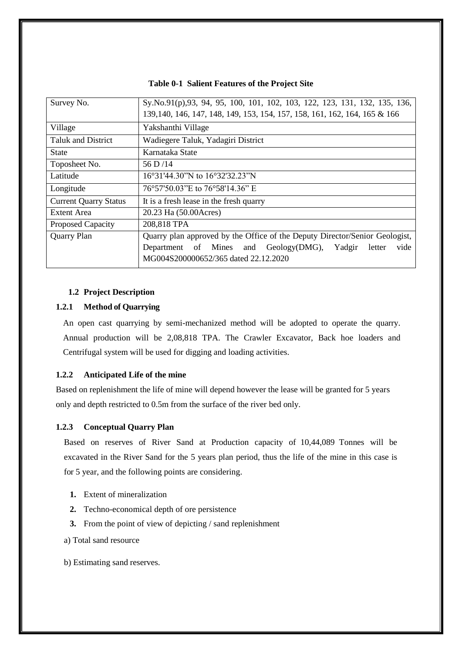| Survey No.                   | Sy.No.91(p),93, 94, 95, 100, 101, 102, 103, 122, 123, 131, 132, 135, 136,<br>139, 140, 146, 147, 148, 149, 153, 154, 157, 158, 161, 162, 164, 165 & 166                               |  |  |  |
|------------------------------|---------------------------------------------------------------------------------------------------------------------------------------------------------------------------------------|--|--|--|
| Village                      | Yakshanthi Village                                                                                                                                                                    |  |  |  |
| <b>Taluk and District</b>    | Wadiegere Taluk, Yadagiri District                                                                                                                                                    |  |  |  |
| State                        | Karnataka State                                                                                                                                                                       |  |  |  |
| Toposheet No.                | 56 D/14                                                                                                                                                                               |  |  |  |
| Latitude                     | 16°31'44.30"N to 16°32'32.23"N                                                                                                                                                        |  |  |  |
| Longitude                    | 76°57'50.03"E to 76°58'14.36" E                                                                                                                                                       |  |  |  |
| <b>Current Quarry Status</b> | It is a fresh lease in the fresh quarry                                                                                                                                               |  |  |  |
| Extent Area                  | 20.23 Ha (50.00Acres)                                                                                                                                                                 |  |  |  |
| Proposed Capacity            | 208,818 TPA                                                                                                                                                                           |  |  |  |
| <b>Quarry Plan</b>           | Quarry plan approved by the Office of the Deputy Director/Senior Geologist,<br>Department of Mines and Geology(DMG), Yadgir<br>vide<br>letter<br>MG004S200000652/365 dated 22.12.2020 |  |  |  |

**Table 0-1 Salient Features of the Project Site**

# **1.2 Project Description**

#### **1.2.1 Method of Quarrying**

An open cast quarrying by semi-mechanized method will be adopted to operate the quarry. Annual production will be 2,08,818 TPA. The Crawler Excavator, Back hoe loaders and Centrifugal system will be used for digging and loading activities.

# **1.2.2 Anticipated Life of the mine**

Based on replenishment the life of mine will depend however the lease will be granted for 5 years only and depth restricted to 0.5m from the surface of the river bed only.

#### **1.2.3 Conceptual Quarry Plan**

Based on reserves of River Sand at Production capacity of 10,44,089 Tonnes will be excavated in the River Sand for the 5 years plan period, thus the life of the mine in this case is for 5 year, and the following points are considering.

- **1.** Extent of mineralization
- **2.** Techno-economical depth of ore persistence
- **3.** From the point of view of depicting / sand replenishment
- a) Total sand resource
- b) Estimating sand reserves.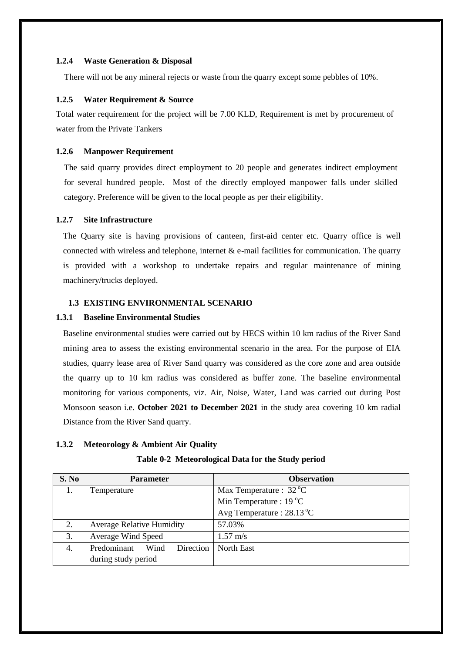#### **1.2.4 Waste Generation & Disposal**

There will not be any mineral rejects or waste from the quarry except some pebbles of 10%.

# **1.2.5 Water Requirement & Source**

Total water requirement for the project will be 7.00 KLD, Requirement is met by procurement of water from the Private Tankers

#### **1.2.6 Manpower Requirement**

The said quarry provides direct employment to 20 people and generates indirect employment for several hundred people. Most of the directly employed manpower falls under skilled category. Preference will be given to the local people as per their eligibility.

# **1.2.7 Site Infrastructure**

The Quarry site is having provisions of canteen, first-aid center etc. Quarry office is well connected with wireless and telephone, internet  $\&$  e-mail facilities for communication. The quarry is provided with a workshop to undertake repairs and regular maintenance of mining machinery/trucks deployed.

# **1.3 EXISTING ENVIRONMENTAL SCENARIO**

# **1.3.1 Baseline Environmental Studies**

Baseline environmental studies were carried out by HECS within 10 km radius of the River Sand mining area to assess the existing environmental scenario in the area. For the purpose of EIA studies, quarry lease area of River Sand quarry was considered as the core zone and area outside the quarry up to 10 km radius was considered as buffer zone. The baseline environmental monitoring for various components, viz. Air, Noise, Water, Land was carried out during Post Monsoon season i.e. **October 2021 to December 2021** in the study area covering 10 km radial Distance from the River Sand quarry.

# **1.3.2 Meteorology & Ambient Air Quality**

| S. No | <b>Parameter</b>                 | <b>Observation</b>                 |
|-------|----------------------------------|------------------------------------|
|       | Temperature                      | Max Temperature : $32^{\circ}$ C   |
|       |                                  | Min Temperature : $19^{\circ}$ C   |
|       |                                  | Avg Temperature: $28.13^{\circ}$ C |
| 2.    | <b>Average Relative Humidity</b> | 57.03%                             |
| 3.    | Average Wind Speed               | $1.57 \text{ m/s}$                 |
| 4.    | Predominant<br>Direction<br>Wind | North East                         |
|       | during study period              |                                    |

#### **Table 0-2 Meteorological Data for the Study period**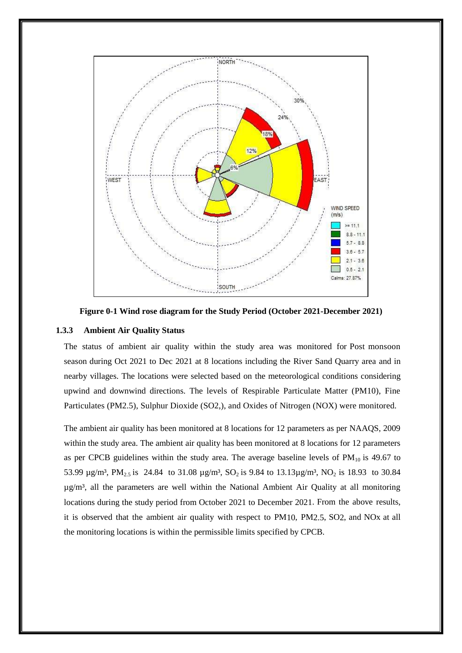

**Figure 0-1 Wind rose diagram for the Study Period (October 2021-December 2021)**

# **1.3.3 Ambient Air Quality Status**

The status of ambient air quality within the study area was monitored for Post monsoon season during Oct 2021 to Dec 2021 at 8 locations including the River Sand Quarry area and in nearby villages. The locations were selected based on the meteorological conditions considering upwind and downwind directions. The levels of Respirable Particulate Matter (PM10), Fine Particulates (PM2.5), Sulphur Dioxide (SO2,), and Oxides of Nitrogen (NOX) were monitored.

The ambient air quality has been monitored at 8 locations for 12 parameters as per NAAQS, 2009 within the study area. The ambient air quality has been monitored at 8 locations for 12 parameters as per CPCB guidelines within the study area. The average baseline levels of  $PM_{10}$  is 49.67 to 53.99  $\mu$ g/m<sup>3</sup>, PM<sub>2.5</sub> is 24.84 to 31.08  $\mu$ g/m<sup>3</sup>, SO<sub>2</sub> is 9.84 to 13.13 $\mu$ g/m<sup>3</sup>, NO<sub>2</sub> is 18.93 to 30.84  $\mu$ g/m<sup>3</sup>, all the parameters are well within the National Ambient Air Quality at all monitoring locations during the study period from October 2021 to December 2021. From the above results, it is observed that the ambient air quality with respect to PM10, PM2.5, SO2, and NOx at all the monitoring locations is within the permissible limits specified by CPCB.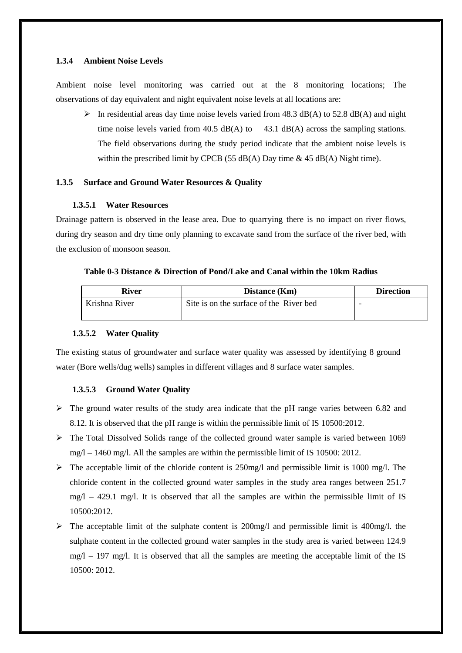# **1.3.4 Ambient Noise Levels**

Ambient noise level monitoring was carried out at the 8 monitoring locations; The observations of day equivalent and night equivalent noise levels at all locations are:

 $\triangleright$  In residential areas day time noise levels varied from 48.3 dB(A) to 52.8 dB(A) and night time noise levels varied from 40.5  $dB(A)$  to 43.1  $dB(A)$  across the sampling stations. The field observations during the study period indicate that the ambient noise levels is within the prescribed limit by CPCB (55 dB(A) Day time  $\&$  45 dB(A) Night time).

# **1.3.5 Surface and Ground Water Resources & Quality**

#### **1.3.5.1 Water Resources**

Drainage pattern is observed in the lease area. Due to quarrying there is no impact on river flows, during dry season and dry time only planning to excavate sand from the surface of the river bed, with the exclusion of monsoon season.

# **Table 0-3 Distance & Direction of Pond/Lake and Canal within the 10km Radius**

| <b>River</b>  | Distance (Km)                           | <b>Direction</b> |  |
|---------------|-----------------------------------------|------------------|--|
| Krishna River | Site is on the surface of the River bed |                  |  |
|               |                                         |                  |  |

#### **1.3.5.2 Water Quality**

The existing status of groundwater and surface water quality was assessed by identifying 8 ground water (Bore wells/dug wells) samples in different villages and 8 surface water samples.

#### **1.3.5.3 Ground Water Quality**

- $\triangleright$  The ground water results of the study area indicate that the pH range varies between 6.82 and 8.12. It is observed that the pH range is within the permissible limit of IS 10500:2012.
- $\triangleright$  The Total Dissolved Solids range of the collected ground water sample is varied between 1069 mg/l – 1460 mg/l. All the samples are within the permissible limit of IS 10500: 2012.
- $\triangleright$  The acceptable limit of the chloride content is 250mg/l and permissible limit is 1000 mg/l. The chloride content in the collected ground water samples in the study area ranges between 251.7  $mg/1 - 429.1$  mg/l. It is observed that all the samples are within the permissible limit of IS 10500:2012.
- $\triangleright$  The acceptable limit of the sulphate content is 200mg/l and permissible limit is 400mg/l. the sulphate content in the collected ground water samples in the study area is varied between 124.9  $mg/1 - 197$  mg/l. It is observed that all the samples are meeting the acceptable limit of the IS 10500: 2012.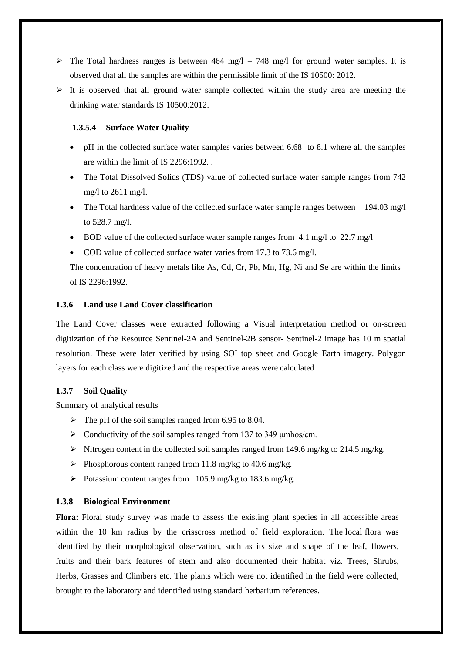- $\triangleright$  The Total hardness ranges is between 464 mg/l 748 mg/l for ground water samples. It is observed that all the samples are within the permissible limit of the IS 10500: 2012.
- $\triangleright$  It is observed that all ground water sample collected within the study area are meeting the drinking water standards IS 10500:2012.

#### **1.3.5.4 Surface Water Quality**

- pH in the collected surface water samples varies between 6.68 to 8.1 where all the samples are within the limit of IS 2296:1992. .
- The Total Dissolved Solids (TDS) value of collected surface water sample ranges from 742 mg/l to 2611 mg/l.
- The Total hardness value of the collected surface water sample ranges between 194.03 mg/l to 528.7 mg/l.
- BOD value of the collected surface water sample ranges from 4.1 mg/l to 22.7 mg/l
- COD value of collected surface water varies from 17.3 to 73.6 mg/l.

The concentration of heavy metals like As, Cd, Cr, Pb, Mn, Hg, Ni and Se are within the limits of IS 2296:1992.

# **1.3.6 Land use Land Cover classification**

The Land Cover classes were extracted following a Visual interpretation method or on-screen digitization of the Resource Sentinel-2A and Sentinel-2B sensor- Sentinel-2 image has 10 m spatial resolution. These were later verified by using SOI top sheet and Google Earth imagery. Polygon layers for each class were digitized and the respective areas were calculated

# **1.3.7 Soil Quality**

Summary of analytical results

- $\triangleright$  The pH of the soil samples ranged from 6.95 to 8.04.
- $\triangleright$  Conductivity of the soil samples ranged from 137 to 349  $\mu$ mhos/cm.
- Nitrogen content in the collected soil samples ranged from 149.6 mg/kg to 214.5 mg/kg.
- Phosphorous content ranged from 11.8 mg/kg to 40.6 mg/kg.
- Potassium content ranges from 105.9 mg/kg to 183.6 mg/kg.

#### **1.3.8 Biological Environment**

**Flora**: Floral study survey was made to assess the existing plant species in all accessible areas within the 10 km radius by the crisscross method of field exploration. The local flora was identified by their morphological observation, such as its size and shape of the leaf, flowers, fruits and their bark features of stem and also documented their habitat viz. Trees, Shrubs, Herbs, Grasses and Climbers etc. The plants which were not identified in the field were collected, brought to the laboratory and identified using standard herbarium references.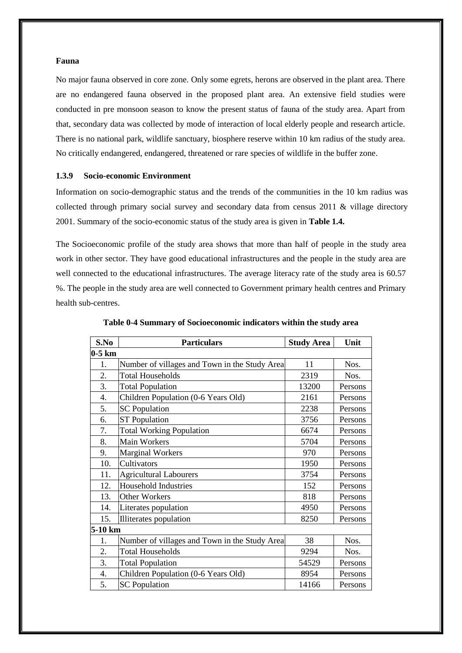#### **Fauna**

No major fauna observed in core zone. Only some egrets, herons are observed in the plant area. There are no endangered fauna observed in the proposed plant area. An extensive field studies were conducted in pre monsoon season to know the present status of fauna of the study area. Apart from that, secondary data was collected by mode of interaction of local elderly people and research article. There is no national park, wildlife sanctuary, biosphere reserve within 10 km radius of the study area. No critically endangered, endangered, threatened or rare species of wildlife in the buffer zone.

# **1.3.9 Socio-economic Environment**

Information on socio-demographic status and the trends of the communities in the 10 km radius was collected through primary social survey and secondary data from census  $2011 \& \text{ village directory}$ 2001. Summary of the socio-economic status of the study area is given in **Table 1.4.**

The Socioeconomic profile of the study area shows that more than half of people in the study area work in other sector. They have good educational infrastructures and the people in the study area are well connected to the educational infrastructures. The average literacy rate of the study area is 60.57 %. The people in the study area are well connected to Government primary health centres and Primary health sub-centres.

| S.No     | <b>Particulars</b>                            | <b>Study Area</b> | Unit    |
|----------|-----------------------------------------------|-------------------|---------|
| $0-5$ km |                                               |                   |         |
| 1.       | Number of villages and Town in the Study Area | 11                | Nos.    |
| 2.       | <b>Total Households</b>                       | 2319              | Nos.    |
| 3.       | <b>Total Population</b>                       | 13200             | Persons |
| 4.       | Children Population (0-6 Years Old)           | 2161              | Persons |
| 5.       | <b>SC</b> Population                          | 2238              | Persons |
| 6.       | <b>ST Population</b>                          | 3756              | Persons |
| 7.       | <b>Total Working Population</b>               | 6674              | Persons |
| 8.       | <b>Main Workers</b>                           | 5704              | Persons |
| 9.       | <b>Marginal Workers</b>                       | 970               | Persons |
| 10.      | Cultivators                                   | 1950              | Persons |
| 11.      | <b>Agricultural Labourers</b>                 | 3754              | Persons |
| 12.      | <b>Household Industries</b>                   | 152               | Persons |
| 13.      | <b>Other Workers</b>                          | 818               | Persons |
| 14.      | Literates population                          | 4950              | Persons |
| 15.      | Illiterates population                        | 8250              | Persons |
| 5-10 km  |                                               |                   |         |
| 1.       | Number of villages and Town in the Study Area | 38                | Nos.    |
| 2.       | <b>Total Households</b>                       | 9294              | Nos.    |
| 3.       | <b>Total Population</b>                       | 54529             | Persons |
| 4.       | Children Population (0-6 Years Old)           | 8954              | Persons |
| 5.       | <b>SC</b> Population                          | 14166             | Persons |

**Table 0-4 Summary of Socioeconomic indicators within the study area**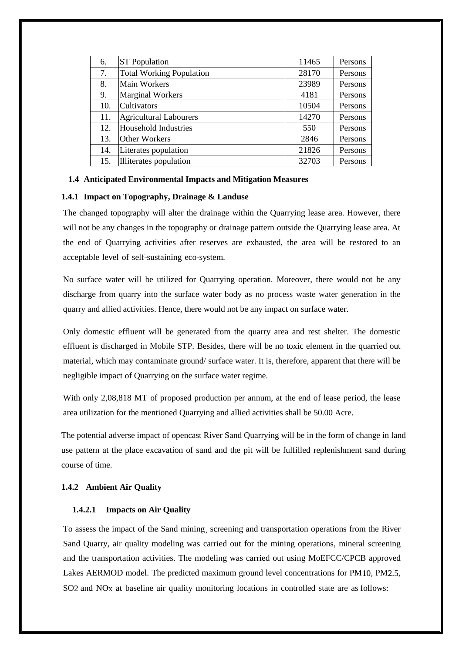| 6.  | <b>ST</b> Population            | 11465 | Persons |
|-----|---------------------------------|-------|---------|
| 7.  | <b>Total Working Population</b> | 28170 | Persons |
| 8.  | <b>Main Workers</b>             | 23989 | Persons |
| 9.  | <b>Marginal Workers</b>         | 4181  | Persons |
| 10. | <b>Cultivators</b>              | 10504 | Persons |
| 11. | <b>Agricultural Labourers</b>   | 14270 | Persons |
| 12. | Household Industries            | 550   | Persons |
| 13. | Other Workers                   | 2846  | Persons |
| 14. | Literates population            | 21826 | Persons |
| 15. | Illiterates population          | 32703 | Persons |

#### **1.4 Anticipated Environmental Impacts and Mitigation Measures**

#### **1.4.1 Impact on Topography, Drainage & Landuse**

The changed topography will alter the drainage within the Quarrying lease area. However, there will not be any changes in the topography or drainage pattern outside the Quarrying lease area. At the end of Quarrying activities after reserves are exhausted, the area will be restored to an acceptable level of self-sustaining eco-system.

No surface water will be utilized for Quarrying operation. Moreover, there would not be any discharge from quarry into the surface water body as no process waste water generation in the quarry and allied activities. Hence, there would not be any impact on surface water.

Only domestic effluent will be generated from the quarry area and rest shelter. The domestic effluent is discharged in Mobile STP. Besides, there will be no toxic element in the quarried out material, which may contaminate ground/ surface water. It is, therefore, apparent that there will be negligible impact of Quarrying on the surface water regime.

With only 2,08,818 MT of proposed production per annum, at the end of lease period, the lease area utilization for the mentioned Quarrying and allied activities shall be 50.00 Acre.

The potential adverse impact of opencast River Sand Quarrying will be in the form of change in land use pattern at the place excavation of sand and the pit will be fulfilled replenishment sand during course of time.

# **1.4.2 Ambient Air Quality**

# **1.4.2.1 Impacts on Air Quality**

To assess the impact of the Sand mining¸ screening and transportation operations from the River Sand Quarry, air quality modeling was carried out for the mining operations, mineral screening and the transportation activities. The modeling was carried out using MoEFCC/CPCB approved Lakes AERMOD model. The predicted maximum ground level concentrations for PM10, PM2.5, SO2 and NOx at baseline air quality monitoring locations in controlled state are as follows: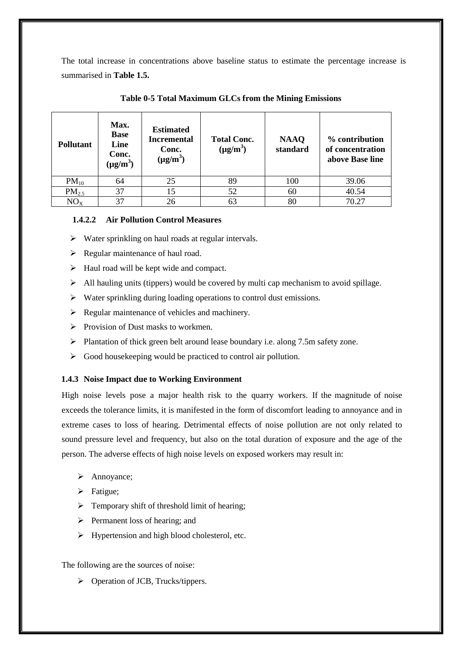The total increase in concentrations above baseline status to estimate the percentage increase is summarised in **Table 1.5.**

| <b>Pollutant</b> | Max.<br><b>Base</b><br>Line<br>Conc.<br>$(\mu g/m^3)$ | <b>Estimated</b><br><b>Incremental</b><br>Conc.<br>$(\mu g/m^3)$ | <b>Total Conc.</b><br>$(\mu g/m^3)$ | <b>NAAQ</b><br>standard | % contribution<br>of concentration<br>above Base line |
|------------------|-------------------------------------------------------|------------------------------------------------------------------|-------------------------------------|-------------------------|-------------------------------------------------------|
| $PM_{10}$        | 64                                                    | 25                                                               | 89                                  | 100                     | 39.06                                                 |
| $PM_{2.5}$       | 37                                                    | 15                                                               | 52                                  | 60                      | 40.54                                                 |
| $NO_{X}$         | 37                                                    | 26                                                               | 63                                  | 80                      | 70.27                                                 |

# **Table 0-5 Total Maximum GLCs from the Mining Emissions**

# **1.4.2.2 Air Pollution Control Measures**

- $\triangleright$  Water sprinkling on haul roads at regular intervals.
- $\triangleright$  Regular maintenance of haul road.
- $\triangleright$  Haul road will be kept wide and compact.
- $\triangleright$  All hauling units (tippers) would be covered by multi cap mechanism to avoid spillage.
- $\triangleright$  Water sprinkling during loading operations to control dust emissions.
- $\triangleright$  Regular maintenance of vehicles and machinery.
- $\triangleright$  Provision of Dust masks to workmen.
- $\triangleright$  Plantation of thick green belt around lease boundary i.e. along 7.5m safety zone.
- $\triangleright$  Good housekeeping would be practiced to control air pollution.

# **1.4.3 Noise Impact due to Working Environment**

High noise levels pose a major health risk to the quarry workers. If the magnitude of noise exceeds the tolerance limits, it is manifested in the form of discomfort leading to annoyance and in extreme cases to loss of hearing. Detrimental effects of noise pollution are not only related to sound pressure level and frequency, but also on the total duration of exposure and the age of the person. The adverse effects of high noise levels on exposed workers may result in:

- > Annoyance;
- $\triangleright$  Fatigue;
- $\triangleright$  Temporary shift of threshold limit of hearing;
- $\triangleright$  Permanent loss of hearing; and
- $\triangleright$  Hypertension and high blood cholesterol, etc.

# The following are the sources of noise:

Operation of JCB, Trucks/tippers.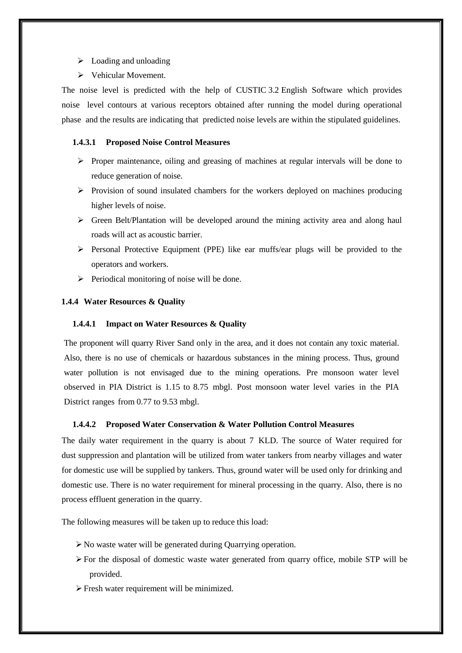- $\triangleright$  Loading and unloading
- Vehicular Movement.

The noise level is predicted with the help of CUSTIC 3.2 English Software which provides noise level contours at various receptors obtained after running the model during operational phase and the results are indicating that predicted noise levels are within the stipulated guidelines.

#### **1.4.3.1 Proposed Noise Control Measures**

- $\triangleright$  Proper maintenance, oiling and greasing of machines at regular intervals will be done to reduce generation of noise.
- $\triangleright$  Provision of sound insulated chambers for the workers deployed on machines producing higher levels of noise.
- $\triangleright$  Green Belt/Plantation will be developed around the mining activity area and along haul roads will act as acoustic barrier.
- Personal Protective Equipment (PPE) like ear muffs/ear plugs will be provided to the operators and workers.
- $\triangleright$  Periodical monitoring of noise will be done.

# **1.4.4 Water Resources & Quality**

#### **1.4.4.1 Impact on Water Resources & Quality**

The proponent will quarry River Sand only in the area, and it does not contain any toxic material. Also, there is no use of chemicals or hazardous substances in the mining process. Thus, ground water pollution is not envisaged due to the mining operations. Pre monsoon water level observed in PIA District is 1.15 to 8.75 mbgl. Post monsoon water level varies in the PIA District ranges from 0.77 to 9.53 mbgl.

#### **1.4.4.2 Proposed Water Conservation & Water Pollution Control Measures**

The daily water requirement in the quarry is about 7 KLD. The source of Water required for dust suppression and plantation will be utilized from water tankers from nearby villages and water for domestic use will be supplied by tankers. Thus, ground water will be used only for drinking and domestic use. There is no water requirement for mineral processing in the quarry. Also, there is no process effluent generation in the quarry.

The following measures will be taken up to reduce this load:

- $\triangleright$  No waste water will be generated during Quarrying operation.
- $\triangleright$  For the disposal of domestic waste water generated from quarry office, mobile STP will be provided.
- Fresh water requirement will be minimized.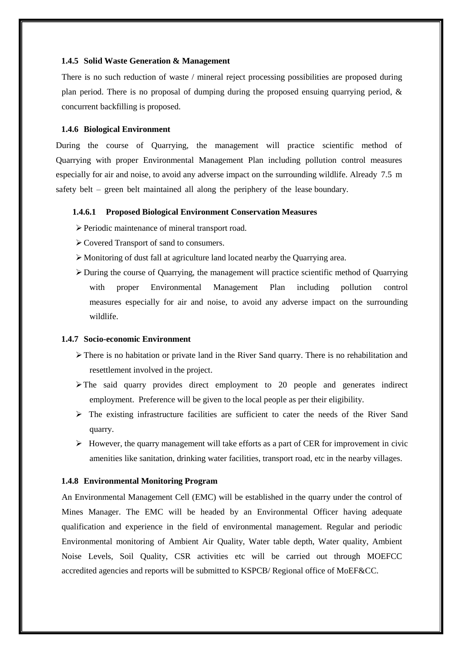#### **1.4.5 Solid Waste Generation & Management**

There is no such reduction of waste / mineral reject processing possibilities are proposed during plan period. There is no proposal of dumping during the proposed ensuing quarrying period,  $\&$ concurrent backfilling is proposed.

#### **1.4.6 Biological Environment**

During the course of Quarrying, the management will practice scientific method of Quarrying with proper Environmental Management Plan including pollution control measures especially for air and noise, to avoid any adverse impact on the surrounding wildlife. Already 7.5 m safety belt – green belt maintained all along the periphery of the lease boundary.

# **1.4.6.1 Proposed Biological Environment Conservation Measures**

- Periodic maintenance of mineral transport road.
- Covered Transport of sand to consumers.
- Monitoring of dust fall at agriculture land located nearby the Quarrying area.
- $\triangleright$  During the course of Quarrying, the management will practice scientific method of Quarrying with proper Environmental Management Plan including pollution control measures especially for air and noise, to avoid any adverse impact on the surrounding wildlife.

#### **1.4.7 Socio-economic Environment**

- $\triangleright$  There is no habitation or private land in the River Sand quarry. There is no rehabilitation and resettlement involved in the project.
- $\triangleright$  The said quarry provides direct employment to 20 people and generates indirect employment. Preference will be given to the local people as per their eligibility.
- $\triangleright$  The existing infrastructure facilities are sufficient to cater the needs of the River Sand quarry.
- $\triangleright$  However, the quarry management will take efforts as a part of CER for improvement in civic amenities like sanitation, drinking water facilities, transport road, etc in the nearby villages.

#### **1.4.8 Environmental Monitoring Program**

An Environmental Management Cell (EMC) will be established in the quarry under the control of Mines Manager. The EMC will be headed by an Environmental Officer having adequate qualification and experience in the field of environmental management. Regular and periodic Environmental monitoring of Ambient Air Quality, Water table depth, Water quality, Ambient Noise Levels, Soil Quality, CSR activities etc will be carried out through MOEFCC accredited agencies and reports will be submitted to KSPCB/ Regional office of MoEF&CC.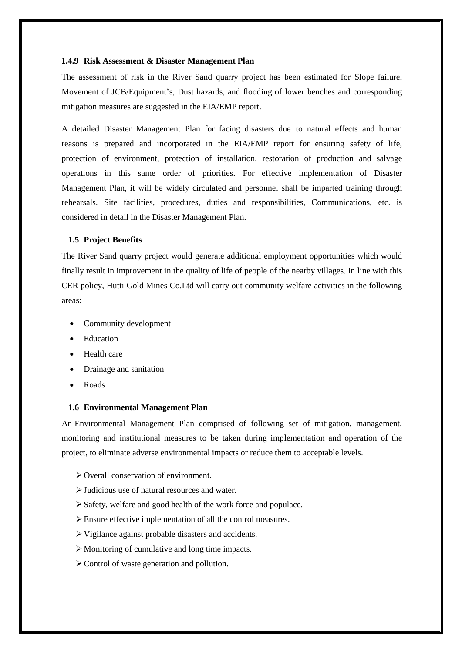#### **1.4.9 Risk Assessment & Disaster Management Plan**

The assessment of risk in the River Sand quarry project has been estimated for Slope failure, Movement of JCB/Equipment's, Dust hazards, and flooding of lower benches and corresponding mitigation measures are suggested in the EIA/EMP report.

A detailed Disaster Management Plan for facing disasters due to natural effects and human reasons is prepared and incorporated in the EIA/EMP report for ensuring safety of life, protection of environment, protection of installation, restoration of production and salvage operations in this same order of priorities. For effective implementation of Disaster Management Plan, it will be widely circulated and personnel shall be imparted training through rehearsals. Site facilities, procedures, duties and responsibilities, Communications, etc. is considered in detail in the Disaster Management Plan.

#### **1.5 Project Benefits**

The River Sand quarry project would generate additional employment opportunities which would finally result in improvement in the quality of life of people of the nearby villages. In line with this CER policy, Hutti Gold Mines Co.Ltd will carry out community welfare activities in the following areas:

- Community development
- Education
- Health care
- Drainage and sanitation
- Roads

#### **1.6 Environmental Management Plan**

An Environmental Management Plan comprised of following set of mitigation, management, monitoring and institutional measures to be taken during implementation and operation of the project, to eliminate adverse environmental impacts or reduce them to acceptable levels.

- Overall conservation of environment.
- Judicious use of natural resources and water.
- Safety, welfare and good health of the work force and populace.
- Ensure effective implementation of all the control measures.
- Vigilance against probable disasters and accidents.
- $\triangleright$  Monitoring of cumulative and long time impacts.
- $\triangleright$  Control of waste generation and pollution.